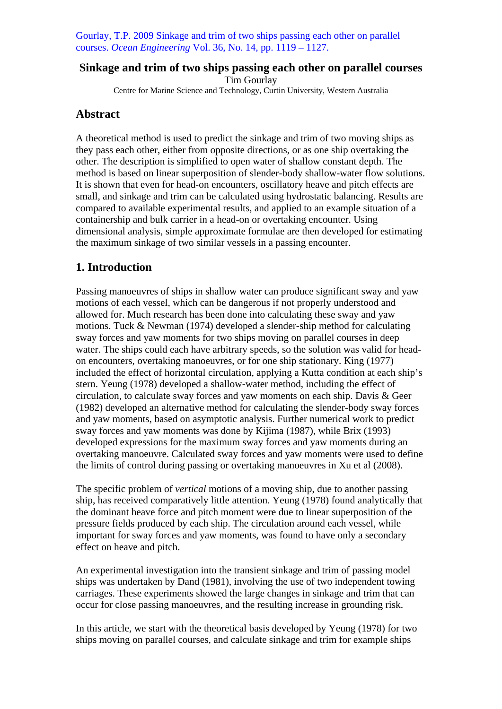Gourlay, T.P. 2009 Sinkage and trim of two ships passing each other on parallel courses. *Ocean Engineering* Vol. 36, No. 14, pp. 1119 – 1127.

# **Sinkage and trim of two ships passing each other on parallel courses**

Tim Gourlay Centre for Marine Science and Technology, Curtin University, Western Australia

# **Abstract**

A theoretical method is used to predict the sinkage and trim of two moving ships as they pass each other, either from opposite directions, or as one ship overtaking the other. The description is simplified to open water of shallow constant depth. The method is based on linear superposition of slender-body shallow-water flow solutions. It is shown that even for head-on encounters, oscillatory heave and pitch effects are small, and sinkage and trim can be calculated using hydrostatic balancing. Results are compared to available experimental results, and applied to an example situation of a containership and bulk carrier in a head-on or overtaking encounter. Using dimensional analysis, simple approximate formulae are then developed for estimating the maximum sinkage of two similar vessels in a passing encounter.

# **1. Introduction**

Passing manoeuvres of ships in shallow water can produce significant sway and yaw motions of each vessel, which can be dangerous if not properly understood and allowed for. Much research has been done into calculating these sway and yaw motions. Tuck & Newman (1974) developed a slender-ship method for calculating sway forces and yaw moments for two ships moving on parallel courses in deep water. The ships could each have arbitrary speeds, so the solution was valid for headon encounters, overtaking manoeuvres, or for one ship stationary. King (1977) included the effect of horizontal circulation, applying a Kutta condition at each ship's stern. Yeung (1978) developed a shallow-water method, including the effect of circulation, to calculate sway forces and yaw moments on each ship. Davis & Geer (1982) developed an alternative method for calculating the slender-body sway forces and yaw moments, based on asymptotic analysis. Further numerical work to predict sway forces and yaw moments was done by Kijima (1987), while Brix (1993) developed expressions for the maximum sway forces and yaw moments during an overtaking manoeuvre. Calculated sway forces and yaw moments were used to define the limits of control during passing or overtaking manoeuvres in Xu et al (2008).

The specific problem of *vertical* motions of a moving ship, due to another passing ship, has received comparatively little attention. Yeung (1978) found analytically that the dominant heave force and pitch moment were due to linear superposition of the pressure fields produced by each ship. The circulation around each vessel, while important for sway forces and yaw moments, was found to have only a secondary effect on heave and pitch.

An experimental investigation into the transient sinkage and trim of passing model ships was undertaken by Dand (1981), involving the use of two independent towing carriages. These experiments showed the large changes in sinkage and trim that can occur for close passing manoeuvres, and the resulting increase in grounding risk.

In this article, we start with the theoretical basis developed by Yeung (1978) for two ships moving on parallel courses, and calculate sinkage and trim for example ships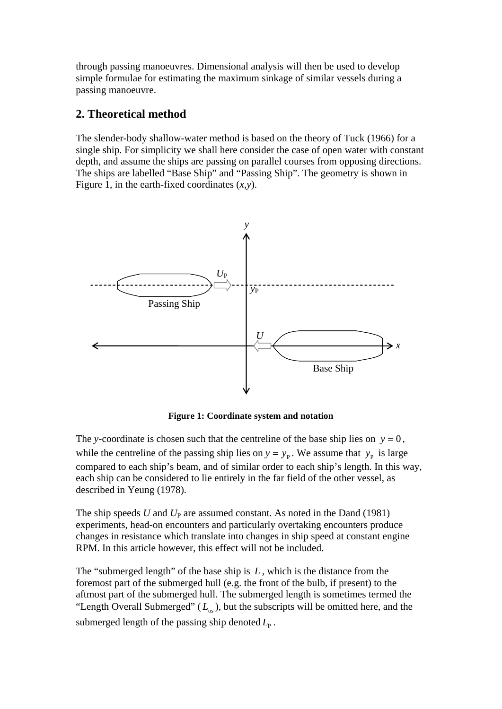through passing manoeuvres. Dimensional analysis will then be used to develop simple formulae for estimating the maximum sinkage of similar vessels during a passing manoeuvre.

## **2. Theoretical method**

The slender-body shallow-water method is based on the theory of Tuck (1966) for a single ship. For simplicity we shall here consider the case of open water with constant depth, and assume the ships are passing on parallel courses from opposing directions. The ships are labelled "Base Ship" and "Passing Ship". The geometry is shown in Figure 1, in the earth-fixed coordinates (*x*,*y*).



**Figure 1: Coordinate system and notation** 

The *y*-coordinate is chosen such that the centreline of the base ship lies on  $y = 0$ , while the centreline of the passing ship lies on  $y = y_p$ . We assume that  $y_p$  is large compared to each ship's beam, and of similar order to each ship's length. In this way, each ship can be considered to lie entirely in the far field of the other vessel, as described in Yeung (1978).

The ship speeds *U* and *U*<sub>P</sub> are assumed constant. As noted in the Dand (1981) experiments, head-on encounters and particularly overtaking encounters produce changes in resistance which translate into changes in ship speed at constant engine RPM. In this article however, this effect will not be included.

The "submerged length" of the base ship is *L* , which is the distance from the foremost part of the submerged hull (e.g. the front of the bulb, if present) to the aftmost part of the submerged hull. The submerged length is sometimes termed the "Length Overall Submerged"  $(L_{\alpha s})$ , but the subscripts will be omitted here, and the submerged length of the passing ship denoted  $L_{\rm p}$ .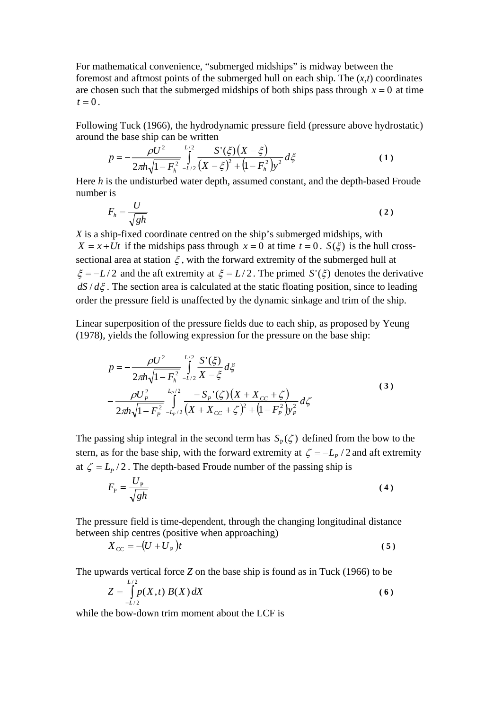For mathematical convenience, "submerged midships" is midway between the foremost and aftmost points of the submerged hull on each ship. The (*x*,*t*) coordinates are chosen such that the submerged midships of both ships pass through  $x = 0$  at time  $t = 0$ .

Following Tuck (1966), the hydrodynamic pressure field (pressure above hydrostatic) around the base ship can be written

$$
p = -\frac{\rho U^2}{2\pi h \sqrt{1 - F_h^2}} \int_{-L/2}^{L/2} \frac{S'(\xi)\left(X - \xi\right)}{\left(X - \xi\right)^2 + \left(1 - F_h^2\right)y^2} d\xi \tag{1}
$$

Here *h* is the undisturbed water depth, assumed constant, and the depth-based Froude number is

$$
F_h = \frac{U}{\sqrt{gh}}
$$
 (2)

*X* is a ship-fixed coordinate centred on the ship's submerged midships, with  $X = x + Ut$  if the midships pass through  $x = 0$  at time  $t = 0$ .  $S(\xi)$  is the hull crosssectional area at station  $\xi$ , with the forward extremity of the submerged hull at  $\xi = -L/2$  and the aft extremity at  $\xi = L/2$ . The primed  $S'(\xi)$  denotes the derivative  $dS/d\xi$ . The section area is calculated at the static floating position, since to leading order the pressure field is unaffected by the dynamic sinkage and trim of the ship.

Linear superposition of the pressure fields due to each ship, as proposed by Yeung (1978), yields the following expression for the pressure on the base ship:

$$
p = -\frac{\rho U^2}{2\pi h \sqrt{1 - F_h^2}} \int_{-L/2}^{L/2} \frac{S'(\xi)}{X - \xi} d\xi
$$
  
 
$$
-\frac{\rho U_P^2}{2\pi h \sqrt{1 - F_P^2}} \int_{-L_P/2}^{L_P/2} \frac{-S_P'(\zeta) (X + X_{cc} + \zeta)}{(X + X_{cc} + \zeta)^2 + (1 - F_P^2) y_P^2} d\zeta
$$
 (3)

The passing ship integral in the second term has  $S_p(\zeta)$  defined from the bow to the stern, as for the base ship, with the forward extremity at  $\zeta = -L_p/2$  and aft extremity at  $\zeta = L_p / 2$ . The depth-based Froude number of the passing ship is

$$
F_{\rm P} = \frac{U_{\rm P}}{\sqrt{gh}}\tag{4}
$$

The pressure field is time-dependent, through the changing longitudinal distance between ship centres (positive when approaching)

$$
X_{\rm CC} = -(U + U_{\rm P})t\tag{5}
$$

The upwards vertical force *Z* on the base ship is found as in Tuck (1966) to be

$$
Z = \int_{-L/2}^{L/2} p(X,t) B(X) dX
$$
 (6)

while the bow-down trim moment about the LCF is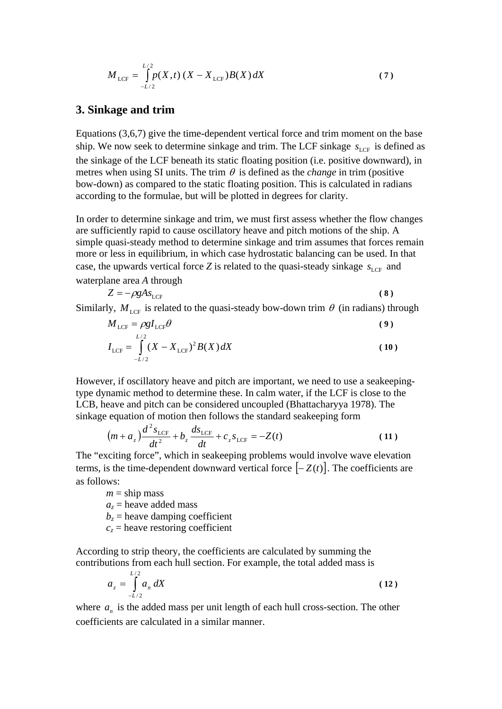$$
M_{\text{LCF}} = \int_{-L/2}^{L/2} p(X, t) (X - X_{\text{LCF}}) B(X) dX
$$
 (7)

### **3. Sinkage and trim**

Equations (3,6,7) give the time-dependent vertical force and trim moment on the base ship. We now seek to determine sinkage and trim. The LCF sinkage  $s_{\text{LCF}}$  is defined as the sinkage of the LCF beneath its static floating position (i.e. positive downward), in metres when using SI units. The trim  $\theta$  is defined as the *change* in trim (positive bow-down) as compared to the static floating position. This is calculated in radians according to the formulae, but will be plotted in degrees for clarity.

In order to determine sinkage and trim, we must first assess whether the flow changes are sufficiently rapid to cause oscillatory heave and pitch motions of the ship. A simple quasi-steady method to determine sinkage and trim assumes that forces remain more or less in equilibrium, in which case hydrostatic balancing can be used. In that case, the upwards vertical force *Z* is related to the quasi-steady sinkage  $s_{\text{LCF}}$  and waterplane area *A* through

$$
Z = -\rho g A s_{\text{LCF}} \tag{8}
$$

Similarly,  $M_{\text{LCE}}$  is related to the quasi-steady bow-down trim  $\theta$  (in radians) through

$$
M_{\text{LCF}} = \rho g I_{\text{LCF}} \theta \tag{9}
$$

$$
I_{\text{LCF}} = \int_{-L/2}^{L/2} (X - X_{\text{LCF}})^2 B(X) dX
$$
 (10)

However, if oscillatory heave and pitch are important, we need to use a seakeepingtype dynamic method to determine these. In calm water, if the LCF is close to the LCB, heave and pitch can be considered uncoupled (Bhattacharyya 1978). The sinkage equation of motion then follows the standard seakeeping form

$$
(m + a_z) \frac{d^2 s_{\text{LCF}}}{dt^2} + b_z \frac{d s_{\text{LCF}}}{dt} + c_z s_{\text{LCF}} = -Z(t)
$$
 (11)

The "exciting force", which in seakeeping problems would involve wave elevation terms, is the time-dependent downward vertical force  $[-Z(t)]$ . The coefficients are as follows:

 $m =$ ship mass  $a_z$  = heave added mass  $b_z$  = heave damping coefficient  $c_z$  = heave restoring coefficient

According to strip theory, the coefficients are calculated by summing the contributions from each hull section. For example, the total added mass is

$$
a_z = \int_{-L/2}^{L/2} a_n \, dX \tag{12}
$$

where  $a_n$  is the added mass per unit length of each hull cross-section. The other coefficients are calculated in a similar manner.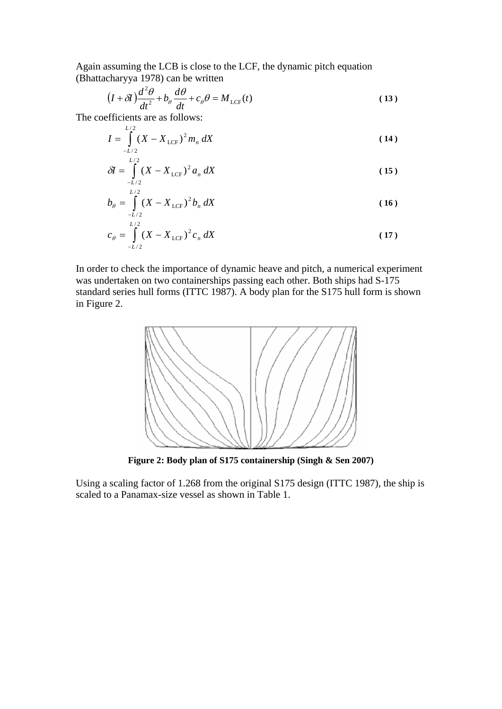Again assuming the LCB is close to the LCF, the dynamic pitch equation (Bhattacharyya 1978) can be written

$$
(I + \delta I) \frac{d^2 \theta}{dt^2} + b_\theta \frac{d\theta}{dt} + c_\theta \theta = M_{\text{LCF}}(t)
$$
 (13)

The coefficients are as follows:

$$
I = \int_{-L/2}^{L/2} (X - X_{\text{LCF}})^2 m_n \, dX \tag{14}
$$

$$
\delta I = \int_{-L/2}^{L/2} (X - X_{\text{LCF}})^2 a_n \, dX \tag{15}
$$

$$
b_{\theta} = \int_{-L/2}^{L/2} (X - X_{\text{LCF}})^2 b_n \, dX \tag{16}
$$

$$
c_{\theta} = \int_{-L/2}^{L/2} (X - X_{\text{LCF}})^2 c_n \, dX \tag{17}
$$

In order to check the importance of dynamic heave and pitch, a numerical experiment was undertaken on two containerships passing each other. Both ships had S-175 standard series hull forms (ITTC 1987). A body plan for the S175 hull form is shown in Figure 2.



**Figure 2: Body plan of S175 containership (Singh & Sen 2007)** 

Using a scaling factor of 1.268 from the original S175 design (ITTC 1987), the ship is scaled to a Panamax-size vessel as shown in Table 1.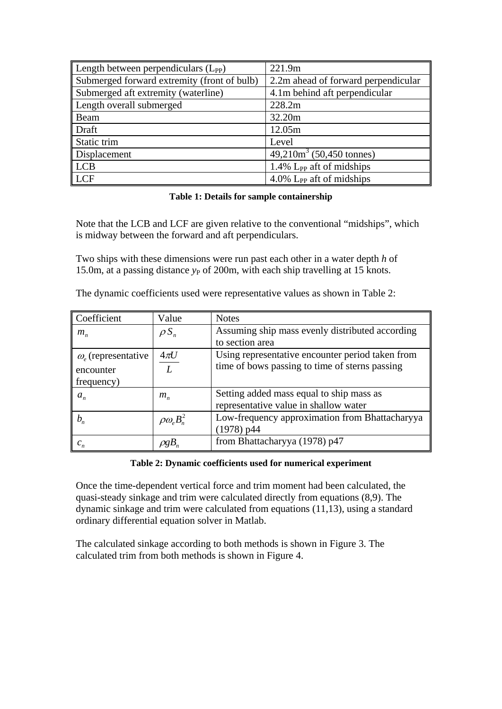| Length between perpendiculars $(L_{PP})$    | 221.9m                                  |
|---------------------------------------------|-----------------------------------------|
| Submerged forward extremity (front of bulb) | 2.2m ahead of forward perpendicular     |
| Submerged aft extremity (waterline)         | 4.1m behind aft perpendicular           |
| Length overall submerged                    | 228.2m                                  |
| Beam                                        | 32.20m                                  |
| Draft                                       | 12.05m                                  |
| Static trim                                 | Level                                   |
| Displacement                                | $49,210m3$ (50,450 tonnes)              |
| LCB                                         | $1.4\%$ L <sub>PP</sub> aft of midships |
| LCF                                         | $4.0\%$ L <sub>PP</sub> aft of midships |

### **Table 1: Details for sample containership**

Note that the LCB and LCF are given relative to the conventional "midships", which is midway between the forward and aft perpendiculars.

Two ships with these dimensions were run past each other in a water depth *h* of 15.0m, at a passing distance  $y_P$  of 200m, with each ship travelling at 15 knots.

The dynamic coefficients used were representative values as shown in Table 2:

| Coefficient              | Value                             | <b>Notes</b>                                                                      |
|--------------------------|-----------------------------------|-----------------------------------------------------------------------------------|
| $m_{n}$                  | $\rho S_n$                        | Assuming ship mass evenly distributed according                                   |
|                          |                                   | to section area                                                                   |
| $\omega$ (representative | $4\pi U$                          | Using representative encounter period taken from                                  |
| encounter                | L                                 | time of bows passing to time of sterns passing                                    |
| frequency)               |                                   |                                                                                   |
| $a_n$                    | $m_n$                             | Setting added mass equal to ship mass as<br>representative value in shallow water |
|                          |                                   | Low-frequency approximation from Bhattacharyya                                    |
| $b_n$                    | $\rho \omega_{e} B_{n}^{2}$       | $(1978)$ p44                                                                      |
| $c_n$                    | $\rho g B_{\scriptscriptstyle n}$ | from Bhattacharyya (1978) p47                                                     |

### **Table 2: Dynamic coefficients used for numerical experiment**

Once the time-dependent vertical force and trim moment had been calculated, the quasi-steady sinkage and trim were calculated directly from equations (8,9). The dynamic sinkage and trim were calculated from equations (11,13), using a standard ordinary differential equation solver in Matlab.

The calculated sinkage according to both methods is shown in Figure 3. The calculated trim from both methods is shown in Figure 4.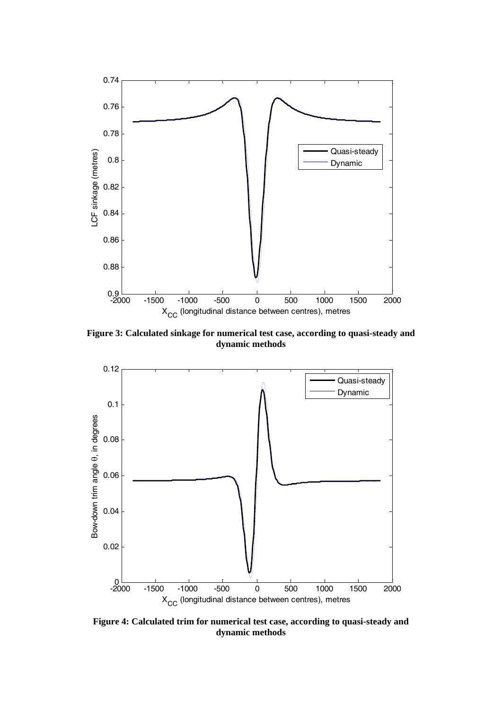

**Figure 3: Calculated sinkage for numerical test case, according to quasi-steady and dynamic methods** 



**Figure 4: Calculated trim for numerical test case, according to quasi-steady and dynamic methods**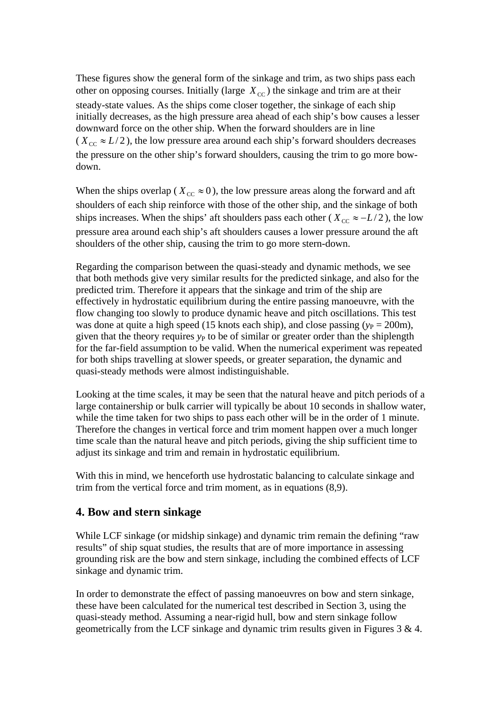These figures show the general form of the sinkage and trim, as two ships pass each other on opposing courses. Initially (large  $X_{\text{CC}}$ ) the sinkage and trim are at their steady-state values. As the ships come closer together, the sinkage of each ship initially decreases, as the high pressure area ahead of each ship's bow causes a lesser downward force on the other ship. When the forward shoulders are in line ( $X_{\text{cc}} \approx L/2$ ), the low pressure area around each ship's forward shoulders decreases the pressure on the other ship's forward shoulders, causing the trim to go more bowdown.

When the ships overlap ( $X_{cc} \approx 0$ ), the low pressure areas along the forward and aft shoulders of each ship reinforce with those of the other ship, and the sinkage of both ships increases. When the ships' aft shoulders pass each other ( $X_{cc} \approx -L/2$ ), the low pressure area around each ship's aft shoulders causes a lower pressure around the aft shoulders of the other ship, causing the trim to go more stern-down.

Regarding the comparison between the quasi-steady and dynamic methods, we see that both methods give very similar results for the predicted sinkage, and also for the predicted trim. Therefore it appears that the sinkage and trim of the ship are effectively in hydrostatic equilibrium during the entire passing manoeuvre, with the flow changing too slowly to produce dynamic heave and pitch oscillations. This test was done at quite a high speed (15 knots each ship), and close passing  $(y_P = 200m)$ , given that the theory requires  $y_P$  to be of similar or greater order than the shiplength for the far-field assumption to be valid. When the numerical experiment was repeated for both ships travelling at slower speeds, or greater separation, the dynamic and quasi-steady methods were almost indistinguishable.

Looking at the time scales, it may be seen that the natural heave and pitch periods of a large containership or bulk carrier will typically be about 10 seconds in shallow water, while the time taken for two ships to pass each other will be in the order of 1 minute. Therefore the changes in vertical force and trim moment happen over a much longer time scale than the natural heave and pitch periods, giving the ship sufficient time to adjust its sinkage and trim and remain in hydrostatic equilibrium.

With this in mind, we henceforth use hydrostatic balancing to calculate sinkage and trim from the vertical force and trim moment, as in equations (8,9).

# **4. Bow and stern sinkage**

While LCF sinkage (or midship sinkage) and dynamic trim remain the defining "raw results" of ship squat studies, the results that are of more importance in assessing grounding risk are the bow and stern sinkage, including the combined effects of LCF sinkage and dynamic trim.

In order to demonstrate the effect of passing manoeuvres on bow and stern sinkage, these have been calculated for the numerical test described in Section 3, using the quasi-steady method. Assuming a near-rigid hull, bow and stern sinkage follow geometrically from the LCF sinkage and dynamic trim results given in Figures  $3 \& 4$ .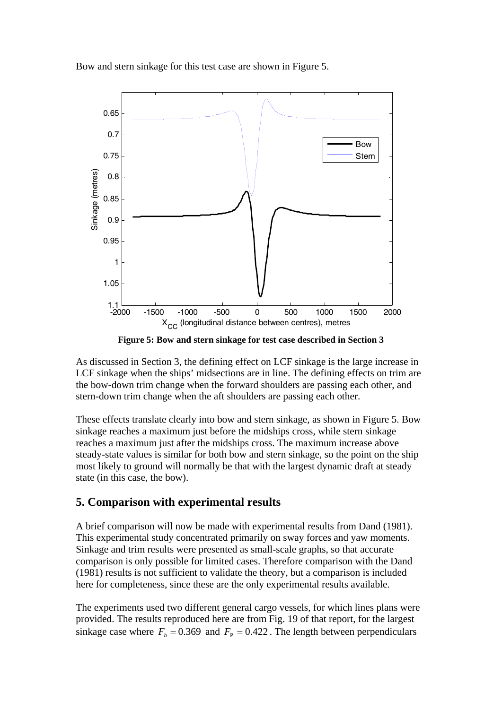Bow and stern sinkage for this test case are shown in Figure 5.



**Figure 5: Bow and stern sinkage for test case described in Section 3** 

As discussed in Section 3, the defining effect on LCF sinkage is the large increase in LCF sinkage when the ships' midsections are in line. The defining effects on trim are the bow-down trim change when the forward shoulders are passing each other, and stern-down trim change when the aft shoulders are passing each other.

These effects translate clearly into bow and stern sinkage, as shown in Figure 5. Bow sinkage reaches a maximum just before the midships cross, while stern sinkage reaches a maximum just after the midships cross. The maximum increase above steady-state values is similar for both bow and stern sinkage, so the point on the ship most likely to ground will normally be that with the largest dynamic draft at steady state (in this case, the bow).

# **5. Comparison with experimental results**

A brief comparison will now be made with experimental results from Dand (1981). This experimental study concentrated primarily on sway forces and yaw moments. Sinkage and trim results were presented as small-scale graphs, so that accurate comparison is only possible for limited cases. Therefore comparison with the Dand (1981) results is not sufficient to validate the theory, but a comparison is included here for completeness, since these are the only experimental results available.

The experiments used two different general cargo vessels, for which lines plans were provided. The results reproduced here are from Fig. 19 of that report, for the largest sinkage case where  $F_h = 0.369$  and  $F_p = 0.422$ . The length between perpendiculars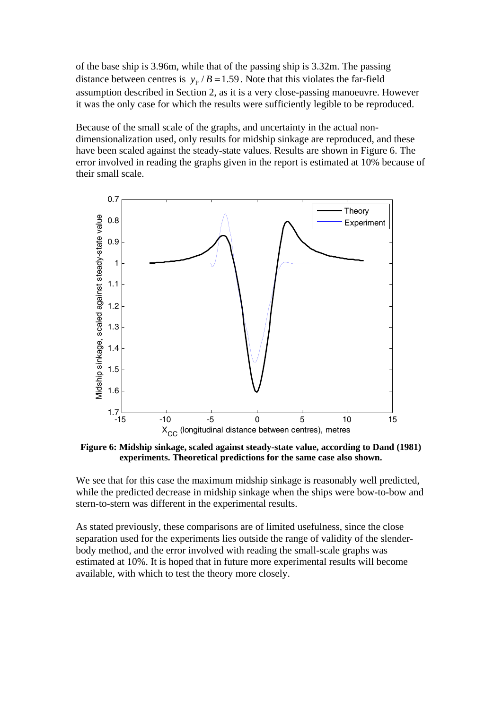of the base ship is 3.96m, while that of the passing ship is 3.32m. The passing distance between centres is  $y_p / B = 1.59$ . Note that this violates the far-field assumption described in Section 2, as it is a very close-passing manoeuvre. However it was the only case for which the results were sufficiently legible to be reproduced.

Because of the small scale of the graphs, and uncertainty in the actual nondimensionalization used, only results for midship sinkage are reproduced, and these have been scaled against the steady-state values. Results are shown in Figure 6. The error involved in reading the graphs given in the report is estimated at 10% because of their small scale.



**Figure 6: Midship sinkage, scaled against steady-state value, according to Dand (1981) experiments. Theoretical predictions for the same case also shown.** 

We see that for this case the maximum midship sinkage is reasonably well predicted, while the predicted decrease in midship sinkage when the ships were bow-to-bow and stern-to-stern was different in the experimental results.

As stated previously, these comparisons are of limited usefulness, since the close separation used for the experiments lies outside the range of validity of the slenderbody method, and the error involved with reading the small-scale graphs was estimated at 10%. It is hoped that in future more experimental results will become available, with which to test the theory more closely.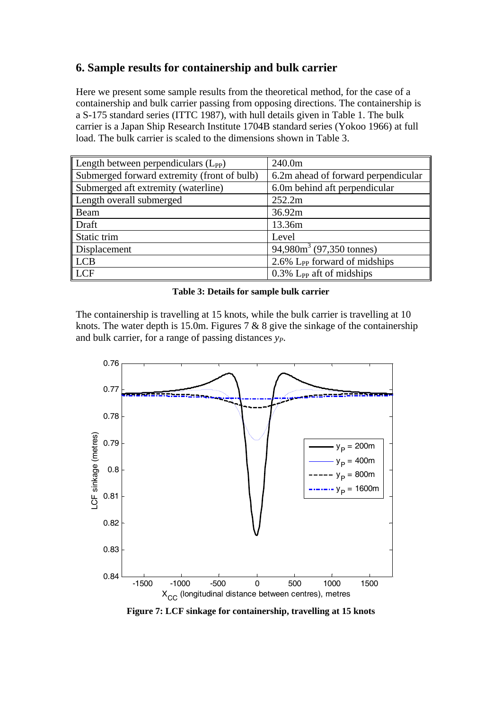# **6. Sample results for containership and bulk carrier**

Here we present some sample results from the theoretical method, for the case of a containership and bulk carrier passing from opposing directions. The containership is a S-175 standard series (ITTC 1987), with hull details given in Table 1. The bulk carrier is a Japan Ship Research Institute 1704B standard series (Yokoo 1966) at full load. The bulk carrier is scaled to the dimensions shown in Table 3.

| Length between perpendiculars $(L_{PP})$    | 240.0m                                   |
|---------------------------------------------|------------------------------------------|
| Submerged forward extremity (front of bulb) | 6.2m ahead of forward perpendicular      |
| Submerged aft extremity (waterline)         | 6.0m behind aft perpendicular            |
| Length overall submerged                    | 252.2m                                   |
| $\parallel$ Beam                            | 36.92m                                   |
| $\parallel$ Draft                           | 13.36m                                   |
| Static trim                                 | Level                                    |
| Displacement                                | 94,980 $m^3$ (97,350 tonnes)             |
| $\ $ LCB                                    | 2.6% L <sub>PP</sub> forward of midships |
| $\ $ LCF                                    | $0.3\%$ L <sub>PP</sub> aft of midships  |

#### **Table 3: Details for sample bulk carrier**

The containership is travelling at 15 knots, while the bulk carrier is travelling at 10 knots. The water depth is 15.0m. Figures 7  $\&$  8 give the sinkage of the containership and bulk carrier, for a range of passing distances *yP*.



**Figure 7: LCF sinkage for containership, travelling at 15 knots**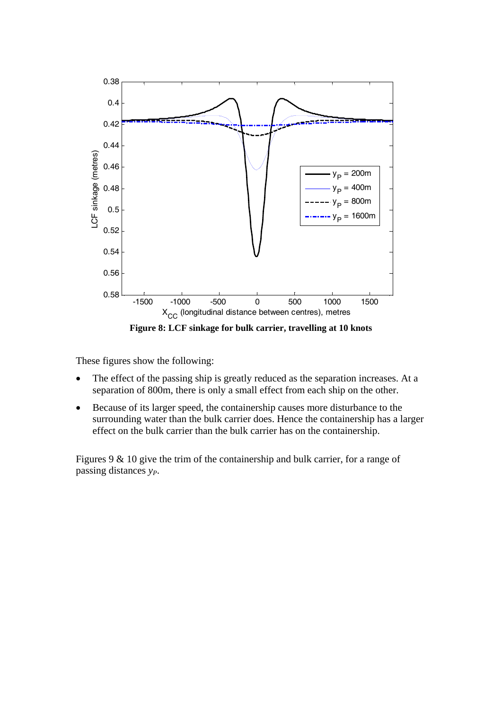

**Figure 8: LCF sinkage for bulk carrier, travelling at 10 knots**

These figures show the following:

- The effect of the passing ship is greatly reduced as the separation increases. At a separation of 800m, there is only a small effect from each ship on the other.
- Because of its larger speed, the containership causes more disturbance to the surrounding water than the bulk carrier does. Hence the containership has a larger effect on the bulk carrier than the bulk carrier has on the containership.

Figures 9 & 10 give the trim of the containership and bulk carrier, for a range of passing distances *yP*.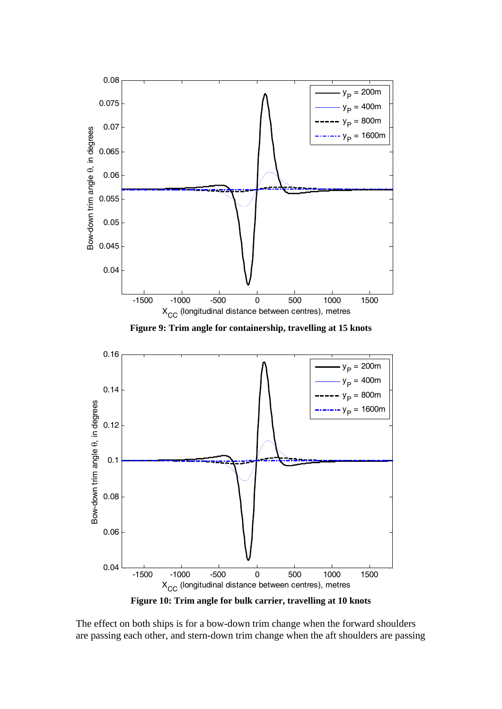

**Figure 9: Trim angle for containership, travelling at 15 knots**



**Figure 10: Trim angle for bulk carrier, travelling at 10 knots**

The effect on both ships is for a bow-down trim change when the forward shoulders are passing each other, and stern-down trim change when the aft shoulders are passing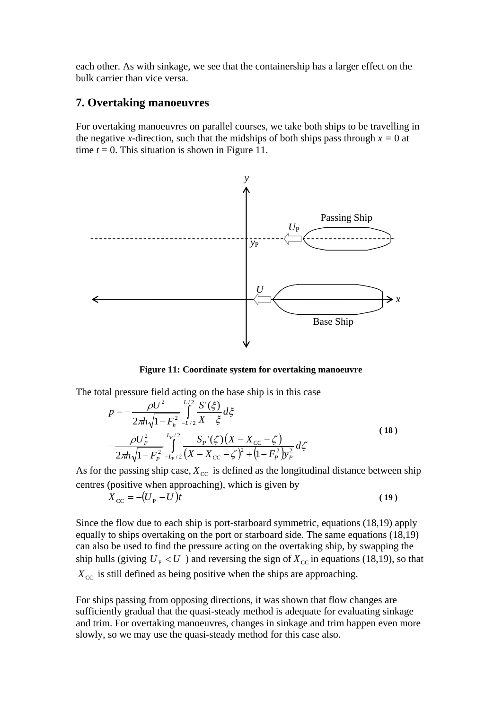each other. As with sinkage, we see that the containership has a larger effect on the bulk carrier than vice versa.

### **7. Overtaking manoeuvres**

For overtaking manoeuvres on parallel courses, we take both ships to be travelling in the negative *x*-direction, such that the midships of both ships pass through  $x = 0$  at time  $t = 0$ . This situation is shown in Figure 11.



**Figure 11: Coordinate system for overtaking manoeuvre** 

The total pressure field acting on the base ship is in this case

$$
p = -\frac{\rho U^2}{2\pi h \sqrt{1 - F_h^2}} \int_{-L/2}^{L/2} \frac{S'(\xi)}{X - \xi} d\xi
$$
  
 
$$
-\frac{\rho U_P^2}{2\pi h \sqrt{1 - F_P^2}} \int_{-L_P/2}^{L_P/2} \frac{S_P'(\zeta) (X - X_{CC} - \zeta)}{(X - X_{CC} - \zeta)^2 + (1 - F_P^2) y_P^2} d\zeta
$$
 (18)

As for the passing ship case,  $X_{\text{CC}}$  is defined as the longitudinal distance between ship centres (positive when approaching), which is given by

$$
X_{\rm CC} = -(U_{\rm P} - U)t \tag{19}
$$

Since the flow due to each ship is port-starboard symmetric, equations (18,19) apply equally to ships overtaking on the port or starboard side. The same equations (18,19) can also be used to find the pressure acting on the overtaking ship, by swapping the ship hulls (giving  $U_p < U$ ) and reversing the sign of  $X_{cc}$  in equations (18,19), so that  $X_{\text{CC}}$  is still defined as being positive when the ships are approaching.

For ships passing from opposing directions, it was shown that flow changes are sufficiently gradual that the quasi-steady method is adequate for evaluating sinkage and trim. For overtaking manoeuvres, changes in sinkage and trim happen even more slowly, so we may use the quasi-steady method for this case also.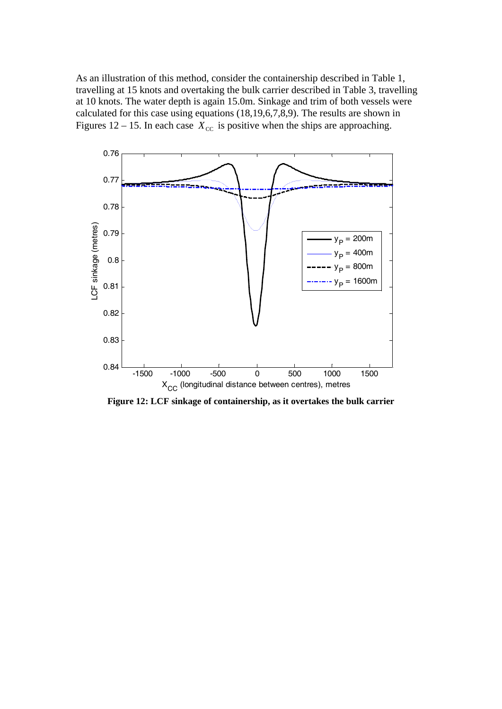As an illustration of this method, consider the containership described in Table 1, travelling at 15 knots and overtaking the bulk carrier described in Table 3, travelling at 10 knots. The water depth is again 15.0m. Sinkage and trim of both vessels were calculated for this case using equations (18,19,6,7,8,9). The results are shown in Figures 12 – 15. In each case  $\bar{X}_{\text{CC}}$  is positive when the ships are approaching.



**Figure 12: LCF sinkage of containership, as it overtakes the bulk carrier**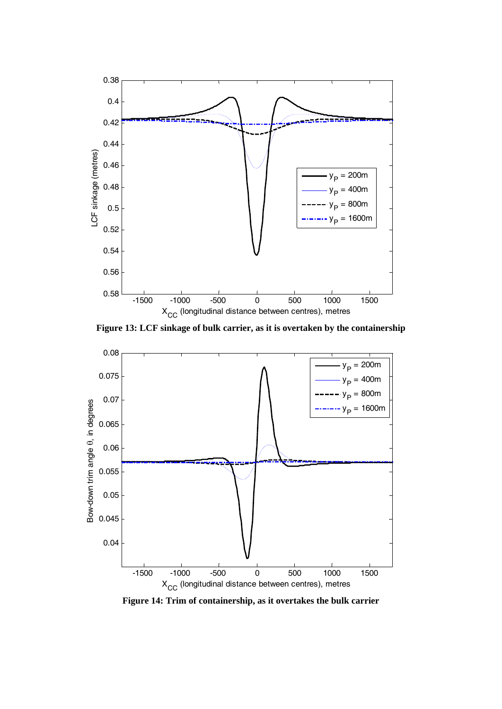

**Figure 13: LCF sinkage of bulk carrier, as it is overtaken by the containership**



**Figure 14: Trim of containership, as it overtakes the bulk carrier**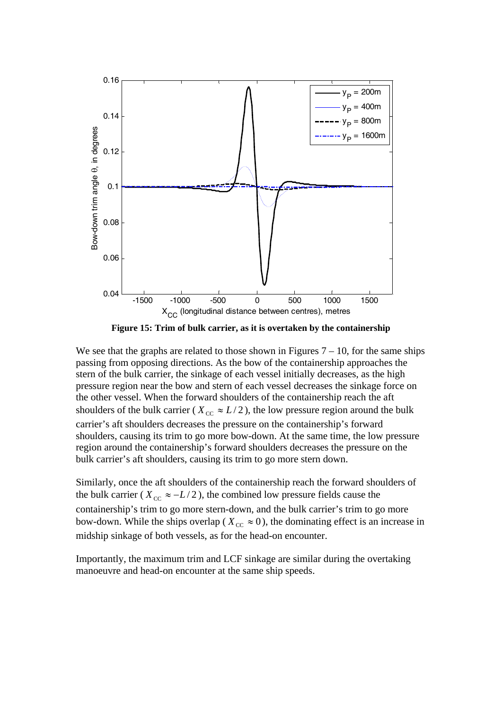

**Figure 15: Trim of bulk carrier, as it is overtaken by the containership**

We see that the graphs are related to those shown in Figures  $7 - 10$ , for the same ships passing from opposing directions. As the bow of the containership approaches the stern of the bulk carrier, the sinkage of each vessel initially decreases, as the high pressure region near the bow and stern of each vessel decreases the sinkage force on the other vessel. When the forward shoulders of the containership reach the aft shoulders of the bulk carrier ( $X_{cc} \approx L/2$ ), the low pressure region around the bulk carrier's aft shoulders decreases the pressure on the containership's forward shoulders, causing its trim to go more bow-down. At the same time, the low pressure region around the containership's forward shoulders decreases the pressure on the bulk carrier's aft shoulders, causing its trim to go more stern down.

Similarly, once the aft shoulders of the containership reach the forward shoulders of the bulk carrier ( $X_{cc} \approx -L/2$ ), the combined low pressure fields cause the containership's trim to go more stern-down, and the bulk carrier's trim to go more bow-down. While the ships overlap ( $X_{cc} \approx 0$ ), the dominating effect is an increase in midship sinkage of both vessels, as for the head-on encounter.

Importantly, the maximum trim and LCF sinkage are similar during the overtaking manoeuvre and head-on encounter at the same ship speeds.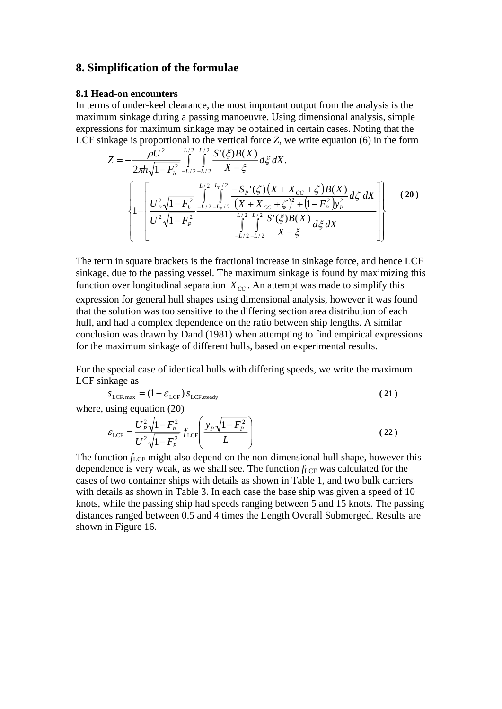### **8. Simplification of the formulae**

#### **8.1 Head-on encounters**

In terms of under-keel clearance, the most important output from the analysis is the maximum sinkage during a passing manoeuvre. Using dimensional analysis, simple expressions for maximum sinkage may be obtained in certain cases. Noting that the LCF sinkage is proportional to the vertical force *Z*, we write equation (6) in the form

$$
Z = -\frac{\rho U^2}{2\pi h \sqrt{1 - F_h^2}} \int_{-L/2 - L/2}^{L/2} \int_{X - \xi}^{X'(\xi) B(X)} d\xi \, dX.
$$
  

$$
\left\{ 1 + \left[ \frac{U_P^2 \sqrt{1 - F_h^2}}{U^2 \sqrt{1 - F_P^2}} \int_{-L/2 - L_P/2}^{L/2} \int_{(X + X_{CC} + \zeta)^2 + (1 - F_P^2) y_P^2}^{L/2} d\zeta \, dX \right] \right\}
$$
(20)  

$$
\left\{ 1 + \left[ \frac{U_P^2 \sqrt{1 - F_h^2}}{U^2 \sqrt{1 - F_P^2}} \int_{-L/2 - L/2}^{L/2} \int_{(X + X_{CC} + \zeta)^2}^{L/2} \frac{S'(\xi) B(X)}{X - \xi} d\xi \, dX \right] \right\}
$$

The term in square brackets is the fractional increase in sinkage force, and hence LCF sinkage, due to the passing vessel. The maximum sinkage is found by maximizing this function over longitudinal separation  $X_{cc}$ . An attempt was made to simplify this expression for general hull shapes using dimensional analysis, however it was found that the solution was too sensitive to the differing section area distribution of each hull, and had a complex dependence on the ratio between ship lengths. A similar conclusion was drawn by Dand (1981) when attempting to find empirical expressions for the maximum sinkage of different hulls, based on experimental results.

For the special case of identical hulls with differing speeds, we write the maximum LCF sinkage as

$$
S_{\text{LCF, max}} = (1 + \mathcal{E}_{\text{LCF}}) S_{\text{LCF, steady}} \tag{21}
$$

where, using equation (20)

$$
\varepsilon_{\text{LCF}} = \frac{U_P^2 \sqrt{1 - F_h^2}}{U^2 \sqrt{1 - F_P^2}} f_{\text{LCF}} \left( \frac{y_P \sqrt{1 - F_P^2}}{L} \right)
$$
 (22)

The function  $f_{\text{LCF}}$  might also depend on the non-dimensional hull shape, however this dependence is very weak, as we shall see. The function  $f_{\text{LCF}}$  was calculated for the cases of two container ships with details as shown in Table 1, and two bulk carriers with details as shown in Table 3. In each case the base ship was given a speed of 10 knots, while the passing ship had speeds ranging between 5 and 15 knots. The passing distances ranged between 0.5 and 4 times the Length Overall Submerged. Results are shown in Figure 16.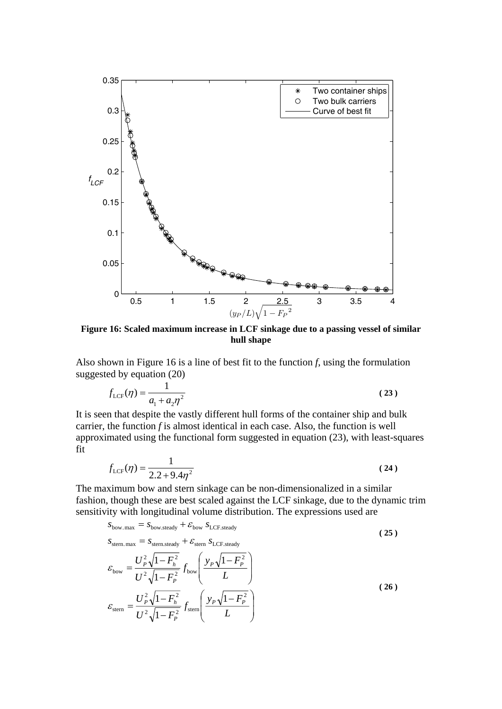

**Figure 16: Scaled maximum increase in LCF sinkage due to a passing vessel of similar hull shape** 

Also shown in Figure 16 is a line of best fit to the function *f*, using the formulation suggested by equation (20)

$$
f_{\text{LCF}}(\eta) = \frac{1}{a_1 + a_2 \eta^2}
$$
 (23)

It is seen that despite the vastly different hull forms of the container ship and bulk carrier, the function *f* is almost identical in each case. Also, the function is well approximated using the functional form suggested in equation (23), with least-squares fit

$$
f_{\text{LCF}}(\eta) = \frac{1}{2.2 + 9.4\eta^2} \tag{24}
$$

The maximum bow and stern sinkage can be non-dimensionalized in a similar fashion, though these are best scaled against the LCF sinkage, due to the dynamic trim sensitivity with longitudinal volume distribution. The expressions used are

$$
S_{\text{bow.max}} = S_{\text{bow.steady}} + \mathcal{E}_{\text{bow }} S_{\text{LCF.steady}}
$$
\n
$$
S_{\text{stem.max}} = S_{\text{stern.steady}} + \mathcal{E}_{\text{stem }} S_{\text{LCF.steady}}
$$
\n
$$
\mathcal{E}_{\text{bow}} = \frac{U_P^2 \sqrt{1 - F_h^2}}{U^2 \sqrt{1 - F_P^2}} f_{\text{bow}} \left( \frac{y_P \sqrt{1 - F_P^2}}{L} \right)
$$
\n
$$
\mathcal{E}_{\text{stern}} = \frac{U_P^2 \sqrt{1 - F_h^2}}{U^2 \sqrt{1 - F_P^2}} f_{\text{stern}} \left( \frac{y_P \sqrt{1 - F_P^2}}{L} \right)
$$
\n(26)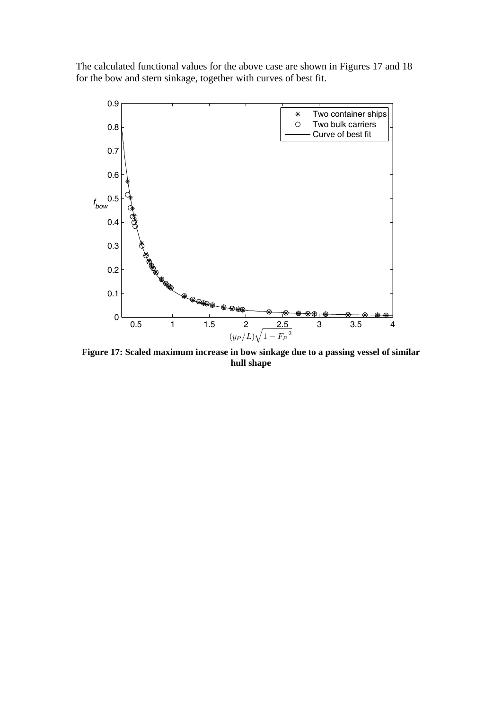The calculated functional values for the above case are shown in Figures 17 and 18 for the bow and stern sinkage, together with curves of best fit.



**Figure 17: Scaled maximum increase in bow sinkage due to a passing vessel of similar hull shape**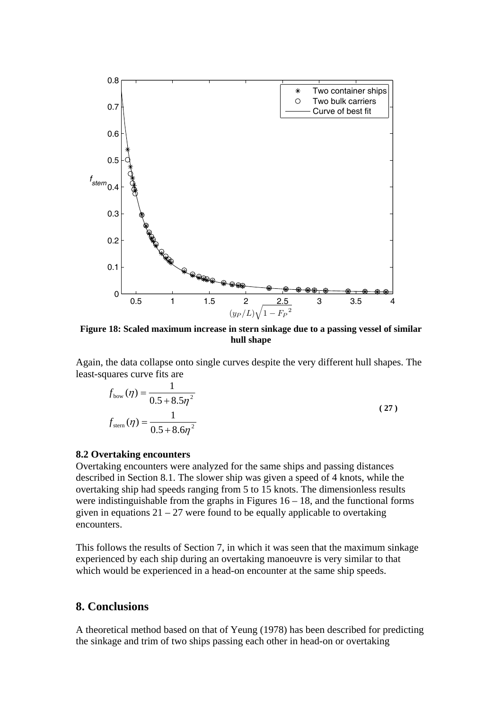

**Figure 18: Scaled maximum increase in stern sinkage due to a passing vessel of similar hull shape** 

Again, the data collapse onto single curves despite the very different hull shapes. The least-squares curve fits are

$$
f_{\text{bow}}(\eta) = \frac{1}{0.5 + 8.5\eta^2}
$$
  

$$
f_{\text{stem}}(\eta) = \frac{1}{0.5 + 8.6\eta^2}
$$
 (27)

#### **8.2 Overtaking encounters**

Overtaking encounters were analyzed for the same ships and passing distances described in Section 8.1. The slower ship was given a speed of 4 knots, while the overtaking ship had speeds ranging from 5 to 15 knots. The dimensionless results were indistinguishable from the graphs in Figures  $16 - 18$ , and the functional forms given in equations  $21 - 27$  were found to be equally applicable to overtaking encounters.

This follows the results of Section 7, in which it was seen that the maximum sinkage experienced by each ship during an overtaking manoeuvre is very similar to that which would be experienced in a head-on encounter at the same ship speeds.

# **8. Conclusions**

A theoretical method based on that of Yeung (1978) has been described for predicting the sinkage and trim of two ships passing each other in head-on or overtaking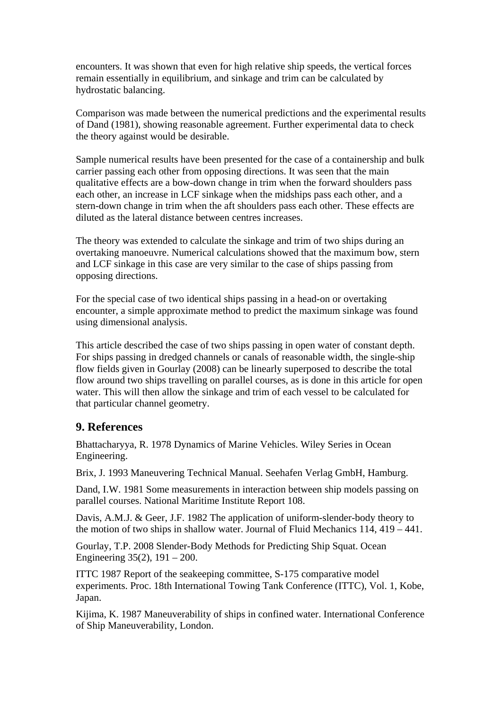encounters. It was shown that even for high relative ship speeds, the vertical forces remain essentially in equilibrium, and sinkage and trim can be calculated by hydrostatic balancing.

Comparison was made between the numerical predictions and the experimental results of Dand (1981), showing reasonable agreement. Further experimental data to check the theory against would be desirable.

Sample numerical results have been presented for the case of a containership and bulk carrier passing each other from opposing directions. It was seen that the main qualitative effects are a bow-down change in trim when the forward shoulders pass each other, an increase in LCF sinkage when the midships pass each other, and a stern-down change in trim when the aft shoulders pass each other. These effects are diluted as the lateral distance between centres increases.

The theory was extended to calculate the sinkage and trim of two ships during an overtaking manoeuvre. Numerical calculations showed that the maximum bow, stern and LCF sinkage in this case are very similar to the case of ships passing from opposing directions.

For the special case of two identical ships passing in a head-on or overtaking encounter, a simple approximate method to predict the maximum sinkage was found using dimensional analysis.

This article described the case of two ships passing in open water of constant depth. For ships passing in dredged channels or canals of reasonable width, the single-ship flow fields given in Gourlay (2008) can be linearly superposed to describe the total flow around two ships travelling on parallel courses, as is done in this article for open water. This will then allow the sinkage and trim of each vessel to be calculated for that particular channel geometry.

### **9. References**

Bhattacharyya, R. 1978 Dynamics of Marine Vehicles. Wiley Series in Ocean Engineering.

Brix, J. 1993 Maneuvering Technical Manual. Seehafen Verlag GmbH, Hamburg.

Dand, I.W. 1981 Some measurements in interaction between ship models passing on parallel courses. National Maritime Institute Report 108.

Davis, A.M.J. & Geer, J.F. 1982 The application of uniform-slender-body theory to the motion of two ships in shallow water. Journal of Fluid Mechanics 114, 419 – 441.

Gourlay, T.P. 2008 Slender-Body Methods for Predicting Ship Squat. Ocean Engineering 35(2), 191 – 200.

ITTC 1987 Report of the seakeeping committee, S-175 comparative model experiments. Proc. 18th International Towing Tank Conference (ITTC), Vol. 1, Kobe, Japan.

Kijima, K. 1987 Maneuverability of ships in confined water. International Conference of Ship Maneuverability, London.